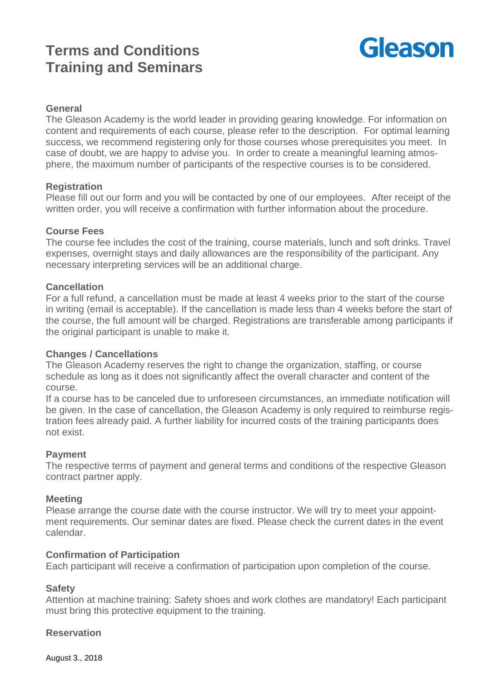# **Terms and Conditions Training and Seminars**



# **General**

The Gleason Academy is the world leader in providing gearing knowledge. For information on content and requirements of each course, please refer to the description. For optimal learning success, we recommend registering only for those courses whose prerequisites you meet. In case of doubt, we are happy to advise you. In order to create a meaningful learning atmosphere, the maximum number of participants of the respective courses is to be considered.

## **Registration**

Please fill out our form and you will be contacted by one of our employees. After receipt of the written order, you will receive a confirmation with further information about the procedure.

## **Course Fees**

The course fee includes the cost of the training, course materials, lunch and soft drinks. Travel expenses, overnight stays and daily allowances are the responsibility of the participant. Any necessary interpreting services will be an additional charge.

## **Cancellation**

For a full refund, a cancellation must be made at least 4 weeks prior to the start of the course in writing (email is acceptable). If the cancellation is made less than 4 weeks before the start of the course, the full amount will be charged. Registrations are transferable among participants if the original participant is unable to make it.

## **Changes / Cancellations**

The Gleason Academy reserves the right to change the organization, staffing, or course schedule as long as it does not significantly affect the overall character and content of the course.

If a course has to be canceled due to unforeseen circumstances, an immediate notification will be given. In the case of cancellation, the Gleason Academy is only required to reimburse registration fees already paid. A further liability for incurred costs of the training participants does not exist.

#### **Payment**

The respective terms of payment and general terms and conditions of the respective Gleason contract partner apply.

#### **Meeting**

Please arrange the course date with the course instructor. We will try to meet your appointment requirements. Our seminar dates are fixed. Please check the current dates in the event calendar.

#### **Confirmation of Participation**

Each participant will receive a confirmation of participation upon completion of the course.

## **Safety**

Attention at machine training: Safety shoes and work clothes are mandatory! Each participant must bring this protective equipment to the training.

## **Reservation**